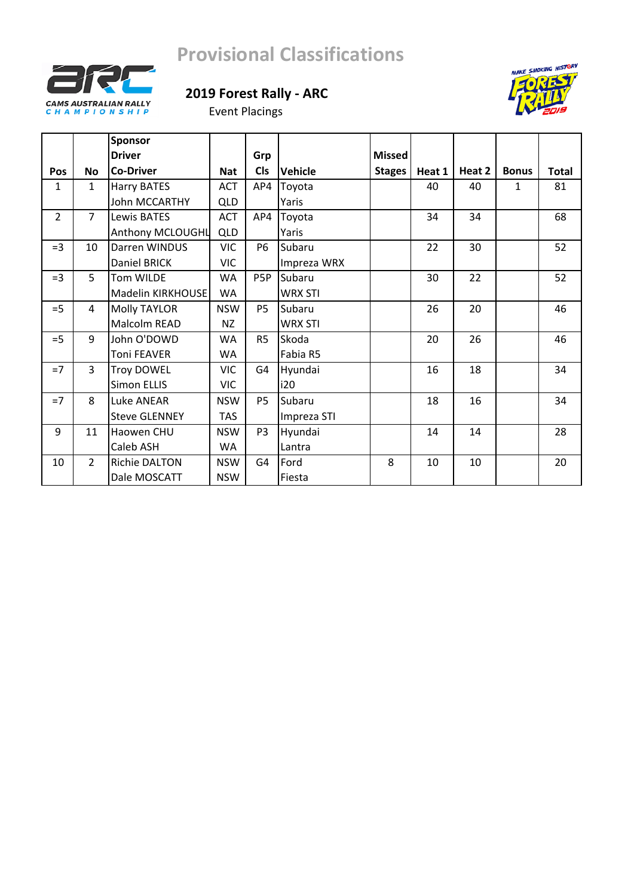



Event Placings

|                |                | Sponsor              |            |                  |                |               |        |        |              |              |
|----------------|----------------|----------------------|------------|------------------|----------------|---------------|--------|--------|--------------|--------------|
|                |                | <b>Driver</b>        |            | Grp              |                | <b>Missed</b> |        |        |              |              |
| Pos            | <b>No</b>      | <b>Co-Driver</b>     | <b>Nat</b> | <b>CIs</b>       | Vehicle        | <b>Stages</b> | Heat 1 | Heat 2 | <b>Bonus</b> | <b>Total</b> |
| 1              | $\mathbf{1}$   | Harry BATES          | <b>ACT</b> | AP4              | Toyota         |               | 40     | 40     | 1            | 81           |
|                |                | John MCCARTHY        | QLD        |                  | Yaris          |               |        |        |              |              |
| $\overline{2}$ | $\overline{7}$ | <b>Lewis BATES</b>   | <b>ACT</b> | AP4              | Toyota         |               | 34     | 34     |              | 68           |
|                |                | Anthony MCLOUGHL     | <b>QLD</b> |                  | Yaris          |               |        |        |              |              |
| $=$ 3          | 10             | Darren WINDUS        | <b>VIC</b> | <b>P6</b>        | Subaru         |               | 22     | 30     |              | 52           |
|                |                | Daniel BRICK         | <b>VIC</b> |                  | Impreza WRX    |               |        |        |              |              |
| $=$ 3          | 5              | Tom WILDE            | WA         | P <sub>5</sub> P | Subaru         |               | 30     | 22     |              | 52           |
|                |                | Madelin KIRKHOUSE    | <b>WA</b>  |                  | <b>WRX STI</b> |               |        |        |              |              |
| $=$ 5          | 4              | <b>Molly TAYLOR</b>  | <b>NSW</b> | P <sub>5</sub>   | Subaru         |               | 26     | 20     |              | 46           |
|                |                | Malcolm READ         | NZ         |                  | <b>WRX STI</b> |               |        |        |              |              |
| $=$ 5          | 9              | John O'DOWD          | <b>WA</b>  | R <sub>5</sub>   | Skoda          |               | 20     | 26     |              | 46           |
|                |                | <b>Toni FEAVER</b>   | WA         |                  | Fabia R5       |               |        |        |              |              |
| $=7$           | $\overline{3}$ | <b>Troy DOWEL</b>    | <b>VIC</b> | G4               | Hyundai        |               | 16     | 18     |              | 34           |
|                |                | Simon ELLIS          | <b>VIC</b> |                  | i20            |               |        |        |              |              |
| $=7$           | 8              | Luke ANEAR           | <b>NSW</b> | P <sub>5</sub>   | Subaru         |               | 18     | 16     |              | 34           |
|                |                | <b>Steve GLENNEY</b> | <b>TAS</b> |                  | Impreza STI    |               |        |        |              |              |
| 9              | 11             | Haowen CHU           | <b>NSW</b> | P <sub>3</sub>   | Hyundai        |               | 14     | 14     |              | 28           |
|                |                | Caleb ASH            | WA         |                  | Lantra         |               |        |        |              |              |
| 10             | $\overline{2}$ | Richie DALTON        | <b>NSW</b> | G4               | Ford           | 8             | 10     | 10     |              | 20           |
|                |                | Dale MOSCATT         | <b>NSW</b> |                  | Fiesta         |               |        |        |              |              |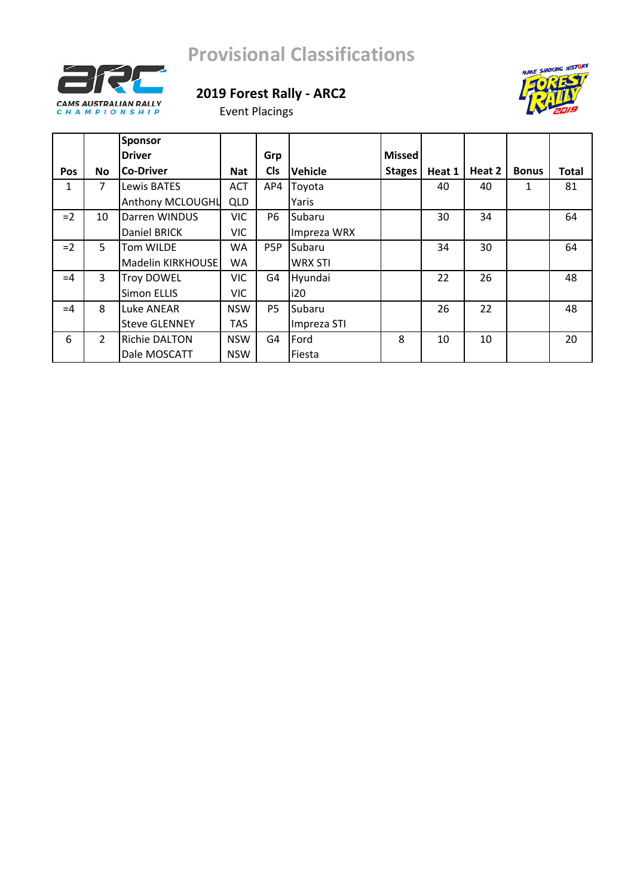





|            |               | <b>Sponsor</b>       |            |                  |                |               |        |        |              |       |
|------------|---------------|----------------------|------------|------------------|----------------|---------------|--------|--------|--------------|-------|
|            |               | <b>Driver</b>        |            | Grp              |                | <b>Missed</b> |        |        |              |       |
| <b>Pos</b> | <b>No</b>     | <b>Co-Driver</b>     | <b>Nat</b> | <b>CIs</b>       | Vehicle        | <b>Stages</b> | Heat 1 | Heat 2 | <b>Bonus</b> | Total |
| 1          | 7             | Lewis BATES          | <b>ACT</b> | AP4              | Toyota         |               | 40     | 40     | 1            | 81    |
|            |               | Anthony MCLOUGHL     | <b>QLD</b> |                  | Yaris          |               |        |        |              |       |
| $=2$       | 10            | Darren WINDUS        | <b>VIC</b> | P <sub>6</sub>   | Subaru         |               | 30     | 34     |              | 64    |
|            |               | Daniel BRICK         | <b>VIC</b> |                  | Impreza WRX    |               |        |        |              |       |
| $=2$       | 5.            | Tom WILDE            | WA         | P <sub>5</sub> P | Subaru         |               | 34     | 30     |              | 64    |
|            |               | Madelin KIRKHOUSE    | WA         |                  | <b>WRX STI</b> |               |        |        |              |       |
| $=4$       | 3             | <b>Troy DOWEL</b>    | <b>VIC</b> | G4               | Hyundai        |               | 22     | 26     |              | 48    |
|            |               | Simon ELLIS          | <b>VIC</b> |                  | i20            |               |        |        |              |       |
| $=4$       | 8             | Luke ANEAR           | <b>NSW</b> | <b>P5</b>        | Subaru         |               | 26     | 22     |              | 48    |
|            |               | <b>Steve GLENNEY</b> | TAS        |                  | Impreza STI    |               |        |        |              |       |
| 6          | $\mathcal{L}$ | <b>Richie DALTON</b> | <b>NSW</b> | G <sub>4</sub>   | Ford           | 8             | 10     | 10     |              | 20    |
|            |               | Dale MOSCATT         | <b>NSW</b> |                  | Fiesta         |               |        |        |              |       |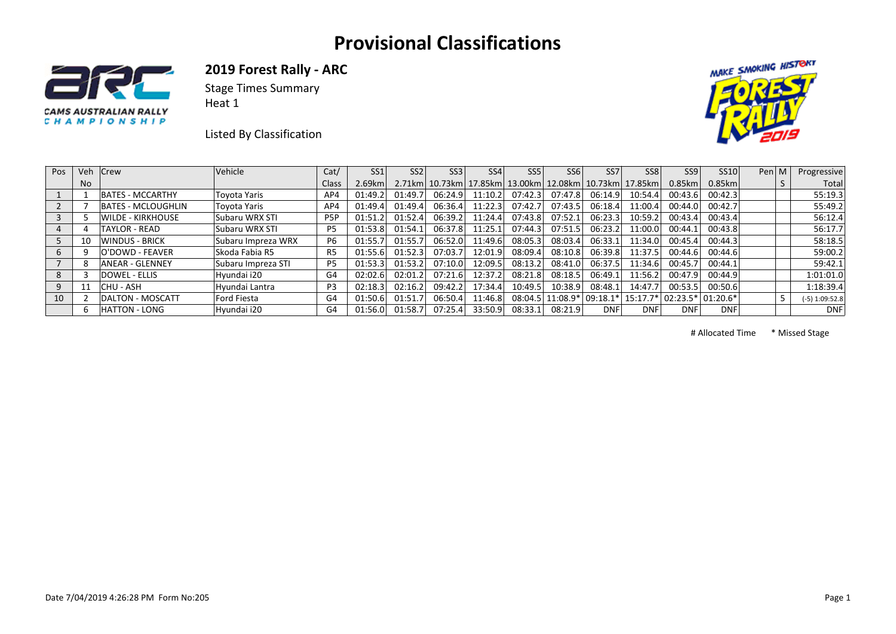

**2019 Forest Rally ‐ ARC** 

Stage Times Summary Heat 1

Listed By Classification



| Pos | Veh            | Crew                     | Vehicle            | Cat/             | SS <sub>1</sub> | SS <sub>2</sub> | SS <sub>3</sub> | SS <sub>4</sub>                                        | SS5     | SS <sub>6</sub>    | SS <sub>7</sub>              | SS <sub>8</sub> | SS <sub>9</sub> | SS10        | Pen $ M $ | Progressive      |
|-----|----------------|--------------------------|--------------------|------------------|-----------------|-----------------|-----------------|--------------------------------------------------------|---------|--------------------|------------------------------|-----------------|-----------------|-------------|-----------|------------------|
|     | N <sub>o</sub> |                          |                    | Class            | $2.69$ km       |                 |                 | 2.71km 10.73km 17.85km 13.00km 12.08km 10.73km 17.85km |         |                    |                              |                 | $0.85$ km       | $0.85$ km   |           | Total            |
|     |                | <b>BATES - MCCARTHY</b>  | Toyota Yaris       | AP4              | 01:49.2         | 01:49.7         | 06:24.9         | 11:10.2                                                | 07:42.3 | 07:47.8            | 06:14.9                      | 10:54.4         | 00:43.6         | 00:42.3     |           | 55:19.3          |
|     |                | BATES - MCLOUGHLIN       | Toyota Yaris       | AP4              | 01:49.4         | 01:49.4         | 06:36.4         | 11:22.3                                                | 07:42.7 | 07:43.5            | 06:18.4                      | 11:00.4         | 00:44.0         | 00:42.7     |           | 55:49.2          |
|     |                | <b>WILDE - KIRKHOUSE</b> | Subaru WRX STI     | P <sub>5</sub> P | 01:51.2         | 01:52.4         | 06:39.2         | 11:24.4                                                | 07:43.8 | 07:52.1            | 06:23.3                      | 10:59.2         | 00:43.4         | 00:43.4     |           | 56:12.4          |
|     |                | TAYLOR - READ            | Subaru WRX STI     | P5               | 01:53.8         | 01:54.1         | 06:37.8         | 11:25.1                                                | 07:44.3 | 07:51.5            | 06:23.2                      | 11:00.0         | 00:44.1         | 00:43.8     |           | 56:17.7          |
|     | 10             | <b>WINDUS - BRICK</b>    | Subaru Impreza WRX | P6               | 01:55.7         | 01:55.7         | 06:52.0         | 11:49.6                                                | 08:05.3 | 08:03.4            | 06:33.1                      | 11:34.0         | 00:45.4         | 00:44.3     |           | 58:18.5          |
|     |                | O'DOWD - FEAVER          | Skoda Fabia R5     | R5               | 01:55.6         | 01:52.3         | 07:03.7         | 12:01.9                                                | 08:09.4 | 08:10.8            | 06:39.8                      | 11:37.5         | 00:44.6         | 00:44.6     |           | 59:00.2          |
|     |                | <b>ANEAR - GLENNEY</b>   | Subaru Impreza STI | P <sub>5</sub>   | 01:53.3         | 01:53.2         | 07:10.0         | 12:09.5                                                | 08:13.2 | 08:41.0            | 06:37.5                      | 11:34.6         | 00:45.7         | 00:44.1     |           | 59:42.1          |
|     |                | <b>DOWEL - ELLIS</b>     | Hyundai i20        | G4               | 02:02.6         | 02:01.2         | 07:21.6         | 12:37.2                                                | 08:21.8 | 08:18.5            | 06:49.1                      | 11:56.2         | 00:47.9         | 00:44.9     |           | 1:01:01.0        |
|     | 11             | ICHU - ASH               | Hvundai Lantra     | <b>P3</b>        | 02:18.3         | 02:16.2         | 09:42.2         | 17:34.4                                                | 10:49.5 | 10:38.9            | 08:48.1                      | 14:47.7         | 00:53.5         | 00:50.6     |           | 1:18:39.4        |
| 10  |                | DALTON - MOSCATT         | Ford Fiesta        | G4               | 01:50.6         | 01:51.7         | 06:50.4         | 11:46.8                                                |         | $08:04.5$ 11:08.9* | 09:18.1*  15:17.7*  02:23.5* |                 |                 | $ 01:20.6*$ |           | $(-5)$ 1:09:52.8 |
|     |                | <b>HATTON - LONG</b>     | Hyundai i20        | G4               | 01:56.0         | 01:58.7         | 07:25.4         | 33:50.9                                                | 08:33.1 | 08:21.9            | <b>DNF</b>                   | <b>DNF</b>      | <b>DNF</b>      | <b>DNF</b>  |           | <b>DNF</b>       |

# Allocated Time \* Missed Stage